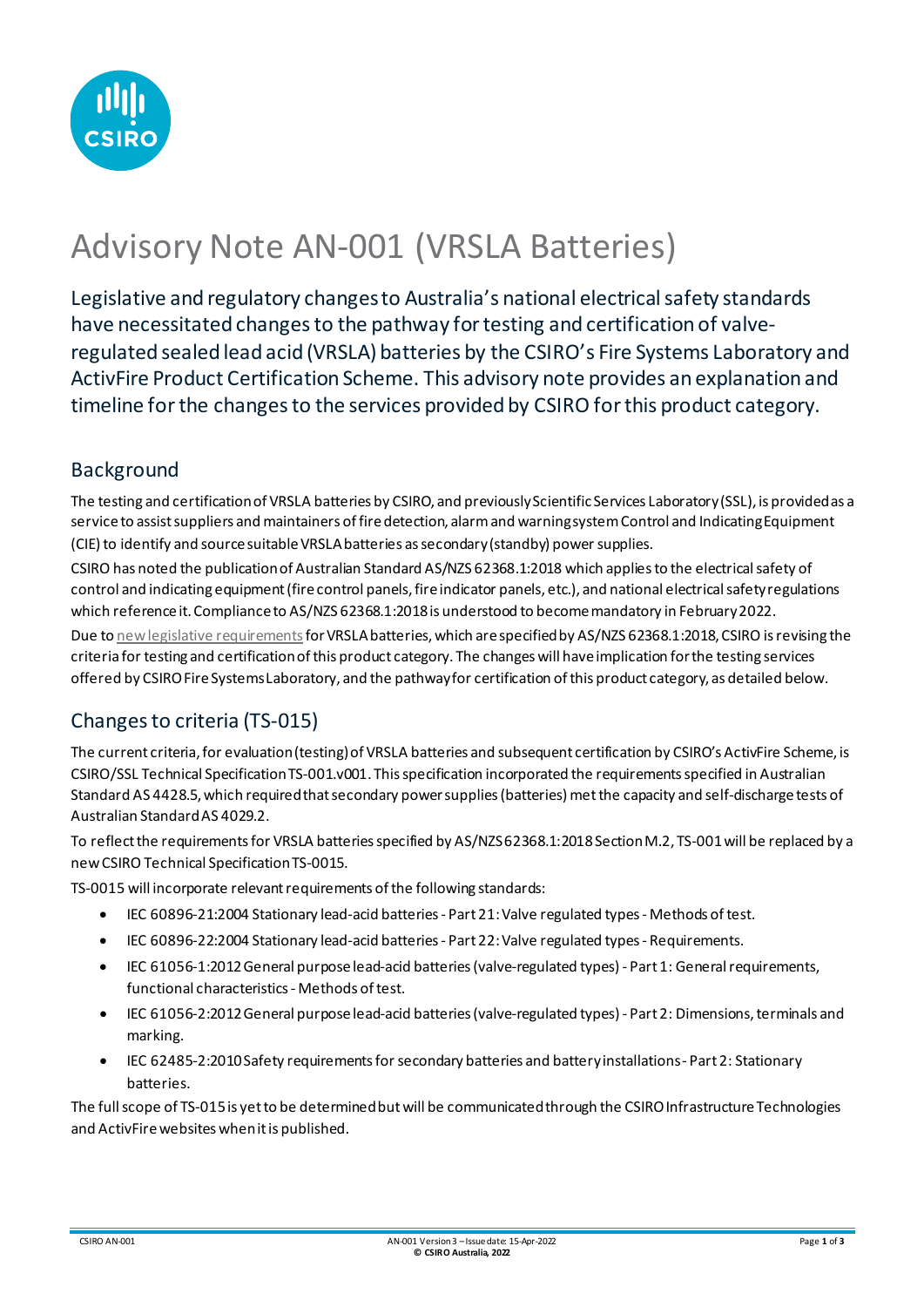

# Advisory Note AN-001 (VRSLA Batteries)

Legislative and regulatory changes to Australia's national electrical safety standards have necessitated changes to the pathway for testing and certification of valveregulated sealed lead acid (VRSLA) batteries by the CSIRO's Fire Systems Laboratory and ActivFire Product Certification Scheme. This advisory note provides an explanation and timeline for the changes to the services provided by CSIRO for this product category.

## Background

The testing and certification of VRSLA batteries by CSIRO, and previously Scientific Services Laboratory (SSL), is provided as a service to assist suppliers and maintainers of fire detection, alarm and warning system Control and Indicating Equipment (CIE) to identify and source suitable VRSLA batteries as secondary (standby) power supplies.

CSIRO has noted the publication of Australian Standard AS/NZS 62368.1:2018 which applies to the electrical safety of control and indicating equipment (fire control panels, fire indicator panels, etc.), and national electrical safety regulations which reference it. Compliance to AS/NZS 62368.1:2018 is understood to become mandatory in February 2022.

Due t[o new legislative requirements](https://www.legislation.gov.au/Details/F2018L01725/Explanatory%20Statement/Text) for VRSLA batteries, which are specified by AS/NZS 62368.1:2018, CSIRO is revising the criteria for testing and certificationof this product category. The changes will have implication for the testing services offered by CSIROFire Systems Laboratory, and the pathway for certification of this product category, as detailed below.

## Changes to criteria (TS-015)

The current criteria, for evaluation (testing) of VRSLA batteries and subsequent certification by CSIRO's ActivFire Scheme, is CSIRO/SSL Technical Specification TS-001.v001. This specification incorporated the requirements specified in Australian Standard AS 4428.5, which required that secondary power supplies (batteries) met the capacity and self-discharge tests of Australian Standard AS 4029.2.

To reflect the requirements for VRSLA batteries specified by AS/NZS62368.1:2018 Section M.2, TS-001 will be replaced by a new CSIRO Technical SpecificationTS-0015.

TS-0015 will incorporate relevant requirements of the following standards:

- IEC 60896-21:2004 Stationary lead-acid batteries Part 21: Valve regulated types Methods of test.
- IEC 60896-22:2004 Stationary lead-acid batteries Part 22: Valve regulated types Requirements.
- IEC 61056-1:2012General purpose lead-acid batteries (valve-regulated types) Part 1: General requirements, functional characteristics - Methods of test.
- IEC 61056-2:2012General purpose lead-acid batteries (valve-regulated types) Part 2: Dimensions, terminals and marking.
- IEC 62485-2:2010 Safety requirements for secondary batteries and battery installations Part 2: Stationary batteries.

The full scope of TS-015 is yet to be determined but will be communicated through the CSIRO Infrastructure Technologies and ActivFire websites when it is published.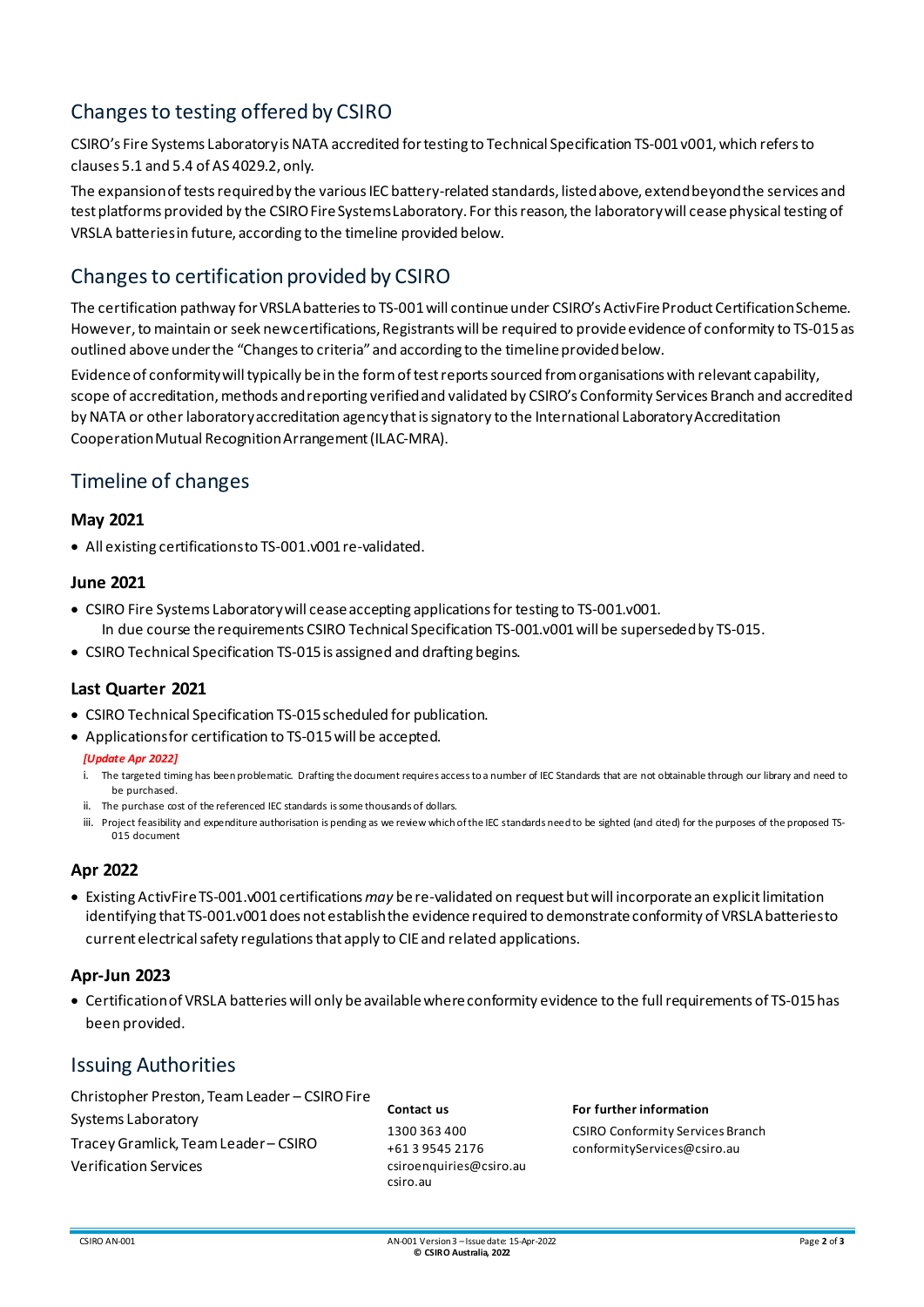## Changes to testing offered by CSIRO

CSIRO's Fire Systems Laboratory is NATA accredited for testing to Technical Specification TS-001 v001, which refers to clauses 5.1 and 5.4 of AS 4029.2, only.

The expansion of tests required by the various IEC battery-related standards, listed above, extend beyond the services and test platforms provided by the CSIRO Fire Systems Laboratory. For this reason, the laboratory will cease physical testing of VRSLA batteries in future, according to the timeline provided below.

## Changes to certification provided by CSIRO

The certification pathway for VRSLA batteries to TS-001 will continue under CSIRO's ActivFire Product Certification Scheme. However, to maintain or seek new certifications, Registrants will be required to provide evidence of conformity to TS-015as outlined aboveunder the "Changes to criteria" and according to the timeline provided below.

Evidence of conformitywill typically be in the form of test reports sourced from organisations with relevant capability, scope of accreditation, methods and reporting verified and validated by CSIRO's Conformity Services Branch and accredited by NATA or other laboratory accreditation agency that is signatory to the International Laboratory Accreditation CooperationMutual Recognition Arrangement (ILAC-MRA).

## Timeline of changes

#### **May 2021**

• All existing certifications to TS-001.v001 re-validated.

#### **June 2021**

- CSIRO Fire Systems Laboratory will cease accepting applications for testing to TS-001.v001. In due course the requirements CSIRO Technical Specification TS-001.v001will be superseded by TS-015.
- CSIRO Technical Specification TS-015 is assigned and drafting begins.

#### **Last Quarter 2021**

- CSIRO Technical Specification TS-015scheduled for publication.
- Applications for certification to TS-015 will be accepted.

#### *[Update Apr 2022]*

- i. The targeted timing has been problematic. Drafting the document requires access to a number of IEC Standards that are not obtainable through our library and need to be purchased.
- ii. The purchase cost of the referenced IEC standards is some thousands of dollars.
- iii. Project feasibility and expenditure authorisation is pending as we review which of the IEC standards need to be sighted (and cited) for the purposes of the proposed TS-015 document

#### **Apr 2022**

• Existing ActivFire TS-001.v001 certifications may be re-validated on request but will incorporate an explicit limitation identifying that TS-001.v001 does not establish the evidence required to demonstrateconformity of VRSLA batteriesto current electrical safety regulationsthat apply to CIE and related applications.

#### **Apr-Jun 2023**

• Certificationof VRSLA batteries will only be available where conformity evidence to the full requirements of TS-015has been provided.

### Issuing Authorities

Christopher Preston, Team Leader – CSIRO Fire Systems Laboratory Tracey Gramlick, Team Leader – CSIRO Verification Services

**Contact us** 1300 363 400 +61 3 9545 2176 csiroenquiries@csiro.au csiro.au

#### **For further information**

CSIRO Conformity Services Branch conformityServices@csiro.au